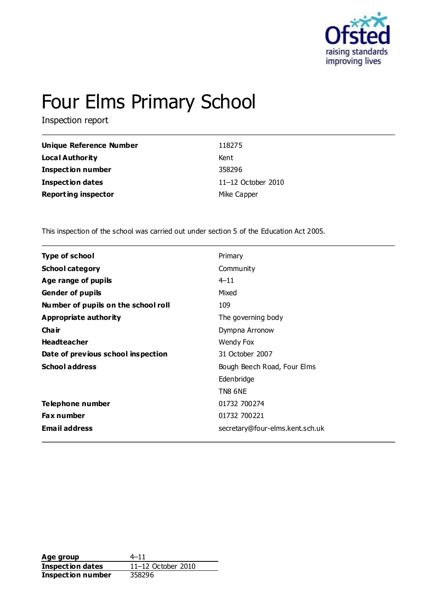

# Four Elms Primary School

Inspection report

| Unique Reference Number    | 118275               |
|----------------------------|----------------------|
| Local Authority            | Kent                 |
| <b>Inspection number</b>   | 358296               |
| <b>Inspection dates</b>    | $11-12$ October 2010 |
| <b>Reporting inspector</b> | Mike Capper          |

This inspection of the school was carried out under section 5 of the Education Act 2005.

| <b>Type of school</b>               | Primary                         |
|-------------------------------------|---------------------------------|
| <b>School category</b>              | Community                       |
| Age range of pupils                 | $4 - 11$                        |
| <b>Gender of pupils</b>             | Mixed                           |
| Number of pupils on the school roll | 109                             |
| Appropriate authority               | The governing body              |
| Cha ir                              | Dympna Arronow                  |
| <b>Headteacher</b>                  | Wendy Fox                       |
| Date of previous school inspection  | 31 October 2007                 |
| <b>School address</b>               | Bough Beech Road, Four Elms     |
|                                     | Edenbridge                      |
|                                     | TN8 6NE                         |
| Telephone number                    | 01732 700274                    |
| Fax number                          | 01732 700221                    |
| <b>Email address</b>                | secretary@four-elms.kent.sch.uk |
|                                     |                                 |

**Age group** 4–11 **Inspection dates** 11–12 October 2010 **Inspection number** 358296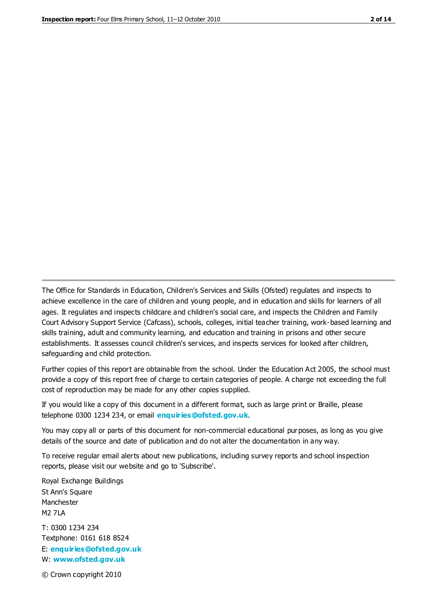The Office for Standards in Education, Children's Services and Skills (Ofsted) regulates and inspects to achieve excellence in the care of children and young people, and in education and skills for learners of all ages. It regulates and inspects childcare and children's social care, and inspects the Children and Family Court Advisory Support Service (Cafcass), schools, colleges, initial teacher training, work-based learning and skills training, adult and community learning, and education and training in prisons and other secure establishments. It assesses council children's services, and inspects services for looked after children, safeguarding and child protection.

Further copies of this report are obtainable from the school. Under the Education Act 2005, the school must provide a copy of this report free of charge to certain categories of people. A charge not exceeding the full cost of reproduction may be made for any other copies supplied.

If you would like a copy of this document in a different format, such as large print or Braille, please telephone 0300 1234 234, or email **[enquiries@ofsted.gov.uk](mailto:enquiries@ofsted.gov.uk)**.

You may copy all or parts of this document for non-commercial educational purposes, as long as you give details of the source and date of publication and do not alter the documentation in any way.

To receive regular email alerts about new publications, including survey reports and school inspection reports, please visit our website and go to 'Subscribe'.

Royal Exchange Buildings St Ann's Square Manchester M2 7LA T: 0300 1234 234 Textphone: 0161 618 8524 E: **[enquiries@ofsted.gov.uk](mailto:enquiries@ofsted.gov.uk)**

W: **[www.ofsted.gov.uk](http://www.ofsted.gov.uk/)**

© Crown copyright 2010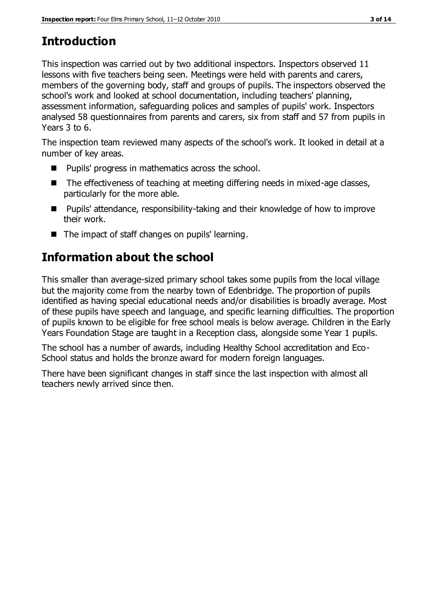# **Introduction**

This inspection was carried out by two additional inspectors. Inspectors observed 11 lessons with five teachers being seen. Meetings were held with parents and carers, members of the governing body, staff and groups of pupils. The inspectors observed the school's work and looked at school documentation, including teachers' planning, assessment information, safeguarding polices and samples of pupils' work. Inspectors analysed 58 questionnaires from parents and carers, six from staff and 57 from pupils in Years 3 to 6.

The inspection team reviewed many aspects of the school's work. It looked in detail at a number of key areas.

- Pupils' progress in mathematics across the school.
- The effectiveness of teaching at meeting differing needs in mixed-age classes, particularly for the more able.
- Pupils' attendance, responsibility-taking and their knowledge of how to improve their work.
- The impact of staff changes on pupils' learning.

# **Information about the school**

This smaller than average-sized primary school takes some pupils from the local village but the majority come from the nearby town of Edenbridge. The proportion of pupils identified as having special educational needs and/or disabilities is broadly average. Most of these pupils have speech and language, and specific learning difficulties. The proportion of pupils known to be eligible for free school meals is below average. Children in the Early Years Foundation Stage are taught in a Reception class, alongside some Year 1 pupils.

The school has a number of awards, including Healthy School accreditation and Eco-School status and holds the bronze award for modern foreign languages.

There have been significant changes in staff since the last inspection with almost all teachers newly arrived since then.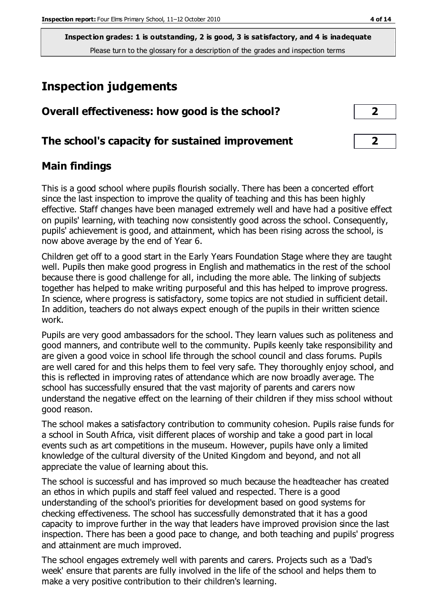**Inspection grades: 1 is outstanding, 2 is good, 3 is satisfactory, and 4 is inadequate** Please turn to the glossary for a description of the grades and inspection terms

# **Inspection judgements**

| Overall effectiveness: how good is the school?  |  |
|-------------------------------------------------|--|
| The school's capacity for sustained improvement |  |

## **Main findings**

This is a good school where pupils flourish socially. There has been a concerted effort since the last inspection to improve the quality of teaching and this has been highly effective. Staff changes have been managed extremely well and have had a positive effect on pupils' learning, with teaching now consistently good across the school. Consequently, pupils' achievement is good, and attainment, which has been rising across the school, is now above average by the end of Year 6.

Children get off to a good start in the Early Years Foundation Stage where they are taught well. Pupils then make good progress in English and mathematics in the rest of the school because there is good challenge for all, including the more able. The linking of subjects together has helped to make writing purposeful and this has helped to improve progress. In science, where progress is satisfactory, some topics are not studied in sufficient detail. In addition, teachers do not always expect enough of the pupils in their written science work.

Pupils are very good ambassadors for the school. They learn values such as politeness and good manners, and contribute well to the community. Pupils keenly take responsibility and are given a good voice in school life through the school council and class forums. Pupils are well cared for and this helps them to feel very safe. They thoroughly enjoy school, and this is reflected in improving rates of attendance which are now broadly average. The school has successfully ensured that the vast majority of parents and carers now understand the negative effect on the learning of their children if they miss school without good reason.

The school makes a satisfactory contribution to community cohesion. Pupils raise funds for a school in South Africa, visit different places of worship and take a good part in local events such as art competitions in the museum. However, pupils have only a limited knowledge of the cultural diversity of the United Kingdom and beyond, and not all appreciate the value of learning about this.

The school is successful and has improved so much because the headteacher has created an ethos in which pupils and staff feel valued and respected. There is a good understanding of the school's priorities for development based on good systems for checking effectiveness. The school has successfully demonstrated that it has a good capacity to improve further in the way that leaders have improved provision since the last inspection. There has been a good pace to change, and both teaching and pupils' progress and attainment are much improved.

The school engages extremely well with parents and carers. Projects such as a 'Dad's week' ensure that parents are fully involved in the life of the school and helps them to make a very positive contribution to their children's learning.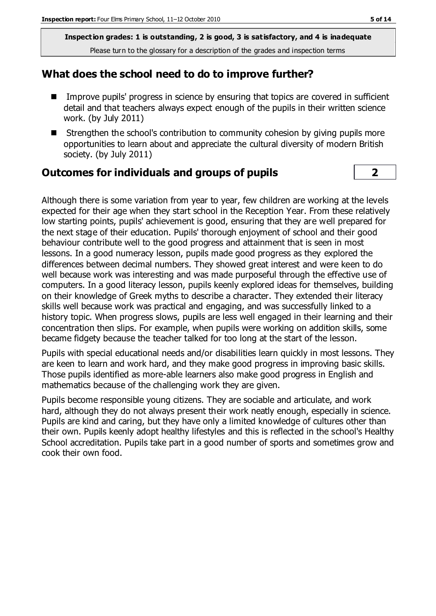**Inspection grades: 1 is outstanding, 2 is good, 3 is satisfactory, and 4 is inadequate** Please turn to the glossary for a description of the grades and inspection terms

#### **What does the school need to do to improve further?**

- Improve pupils' progress in science by ensuring that topics are covered in sufficient detail and that teachers always expect enough of the pupils in their written science work. (by July 2011)
- Strengthen the school's contribution to community cohesion by giving pupils more opportunities to learn about and appreciate the cultural diversity of modern British society. (by July 2011)

#### **Outcomes for individuals and groups of pupils 2**

Although there is some variation from year to year, few children are working at the levels expected for their age when they start school in the Reception Year. From these relatively low starting points, pupils' achievement is good, ensuring that they are well prepared for the next stage of their education. Pupils' thorough enjoyment of school and their good behaviour contribute well to the good progress and attainment that is seen in most lessons. In a good numeracy lesson, pupils made good progress as they explored the differences between decimal numbers. They showed great interest and were keen to do well because work was interesting and was made purposeful through the effective use of computers. In a good literacy lesson, pupils keenly explored ideas for themselves, building on their knowledge of Greek myths to describe a character. They extended their literacy skills well because work was practical and engaging, and was successfully linked to a history topic. When progress slows, pupils are less well engaged in their learning and their concentration then slips. For example, when pupils were working on addition skills, some became fidgety because the teacher talked for too long at the start of the lesson.

Pupils with special educational needs and/or disabilities learn quickly in most lessons. They are keen to learn and work hard, and they make good progress in improving basic skills. Those pupils identified as more-able learners also make good progress in English and mathematics because of the challenging work they are given.

Pupils become responsible young citizens. They are sociable and articulate, and work hard, although they do not always present their work neatly enough, especially in science. Pupils are kind and caring, but they have only a limited knowledge of cultures other than their own. Pupils keenly adopt healthy lifestyles and this is reflected in the school's Healthy School accreditation. Pupils take part in a good number of sports and sometimes grow and cook their own food.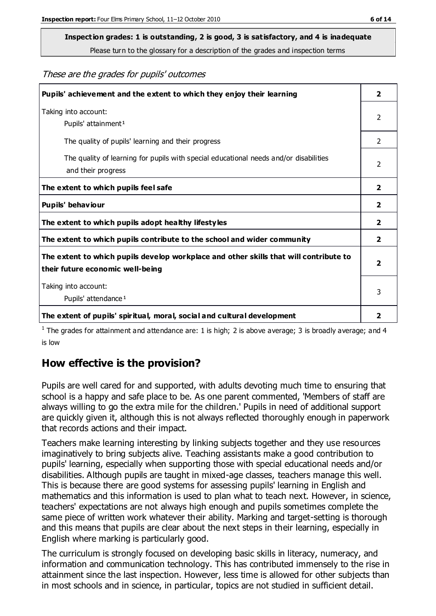# **Inspection grades: 1 is outstanding, 2 is good, 3 is satisfactory, and 4 is inadequate**

Please turn to the glossary for a description of the grades and inspection terms

#### These are the grades for pupils' outcomes

| Pupils' achievement and the extent to which they enjoy their learning                                                     | $\overline{2}$          |
|---------------------------------------------------------------------------------------------------------------------------|-------------------------|
| Taking into account:<br>Pupils' attainment <sup>1</sup>                                                                   | 2                       |
| The quality of pupils' learning and their progress                                                                        | $\mathfrak{D}$          |
| The quality of learning for pupils with special educational needs and/or disabilities<br>and their progress               | 2                       |
| The extent to which pupils feel safe                                                                                      | $\overline{\mathbf{2}}$ |
| Pupils' behaviour                                                                                                         | 2                       |
| The extent to which pupils adopt healthy lifestyles                                                                       | 2                       |
| The extent to which pupils contribute to the school and wider community                                                   | $\mathbf{2}$            |
| The extent to which pupils develop workplace and other skills that will contribute to<br>their future economic well-being | $\overline{\mathbf{2}}$ |
| Taking into account:<br>Pupils' attendance <sup>1</sup>                                                                   | 3                       |
| The extent of pupils' spiritual, moral, social and cultural development                                                   | $\overline{\mathbf{2}}$ |

<sup>1</sup> The grades for attainment and attendance are: 1 is high; 2 is above average; 3 is broadly average; and 4 is low

## **How effective is the provision?**

Pupils are well cared for and supported, with adults devoting much time to ensuring that school is a happy and safe place to be. As one parent commented, 'Members of staff are always willing to go the extra mile for the children.' Pupils in need of additional support are quickly given it, although this is not always reflected thoroughly enough in paperwork that records actions and their impact.

Teachers make learning interesting by linking subjects together and they use resources imaginatively to bring subjects alive. Teaching assistants make a good contribution to pupils' learning, especially when supporting those with special educational needs and/or disabilities. Although pupils are taught in mixed-age classes, teachers manage this well. This is because there are good systems for assessing pupils' learning in English and mathematics and this information is used to plan what to teach next. However, in science, teachers' expectations are not always high enough and pupils sometimes complete the same piece of written work whatever their ability. Marking and target-setting is thorough and this means that pupils are clear about the next steps in their learning, especially in English where marking is particularly good.

The curriculum is strongly focused on developing basic skills in literacy, numeracy, and information and communication technology. This has contributed immensely to the rise in attainment since the last inspection. However, less time is allowed for other subjects than in most schools and in science, in particular, topics are not studied in sufficient detail.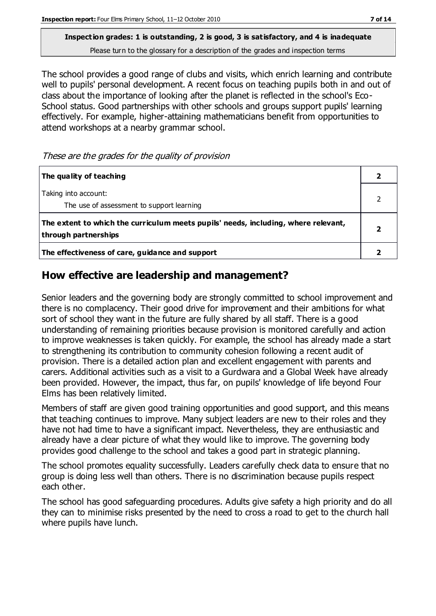**Inspection grades: 1 is outstanding, 2 is good, 3 is satisfactory, and 4 is inadequate** Please turn to the glossary for a description of the grades and inspection terms

The school provides a good range of clubs and visits, which enrich learning and contribute well to pupils' personal development. A recent focus on teaching pupils both in and out of class about the importance of looking after the planet is reflected in the school's Eco-School status. Good partnerships with other schools and groups support pupils' learning effectively. For example, higher-attaining mathematicians benefit from opportunities to attend workshops at a nearby grammar school.

These are the grades for the quality of provision

| The quality of teaching                                                                                    |  |
|------------------------------------------------------------------------------------------------------------|--|
| Taking into account:<br>The use of assessment to support learning                                          |  |
| The extent to which the curriculum meets pupils' needs, including, where relevant,<br>through partnerships |  |
| The effectiveness of care, guidance and support                                                            |  |

## **How effective are leadership and management?**

Senior leaders and the governing body are strongly committed to school improvement and there is no complacency. Their good drive for improvement and their ambitions for what sort of school they want in the future are fully shared by all staff. There is a good understanding of remaining priorities because provision is monitored carefully and action to improve weaknesses is taken quickly. For example, the school has already made a start to strengthening its contribution to community cohesion following a recent audit of provision. There is a detailed action plan and excellent engagement with parents and carers. Additional activities such as a visit to a Gurdwara and a Global Week have already been provided. However, the impact, thus far, on pupils' knowledge of life beyond Four Elms has been relatively limited.

Members of staff are given good training opportunities and good support, and this means that teaching continues to improve. Many subject leaders are new to their roles and they have not had time to have a significant impact. Nevertheless, they are enthusiastic and already have a clear picture of what they would like to improve. The governing body provides good challenge to the school and takes a good part in strategic planning.

The school promotes equality successfully. Leaders carefully check data to ensure that no group is doing less well than others. There is no discrimination because pupils respect each other.

The school has good safeguarding procedures. Adults give safety a high priority and do all they can to minimise risks presented by the need to cross a road to get to the church hall where pupils have lunch.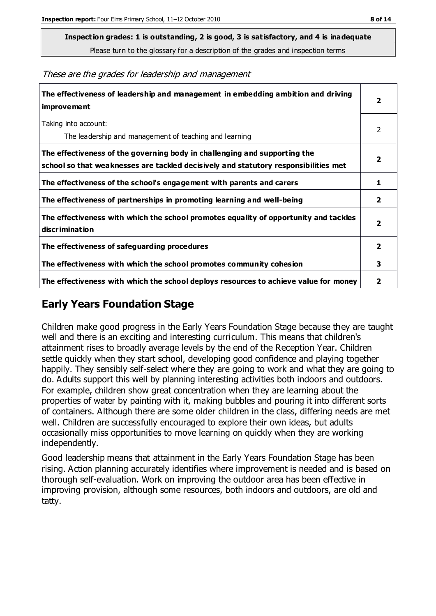**Inspection grades: 1 is outstanding, 2 is good, 3 is satisfactory, and 4 is inadequate**

Please turn to the glossary for a description of the grades and inspection terms

These are the grades for leadership and management

| The effectiveness of leadership and management in embedding ambition and driving<br>improvement                                                                  | 2                       |
|------------------------------------------------------------------------------------------------------------------------------------------------------------------|-------------------------|
| Taking into account:<br>The leadership and management of teaching and learning                                                                                   | 2                       |
| The effectiveness of the governing body in challenging and supporting the<br>school so that weaknesses are tackled decisively and statutory responsibilities met | $\overline{2}$          |
| The effectiveness of the school's engagement with parents and carers                                                                                             | 1                       |
| The effectiveness of partnerships in promoting learning and well-being                                                                                           | $\mathbf{2}$            |
| The effectiveness with which the school promotes equality of opportunity and tackles<br>discrimination                                                           | $\overline{\mathbf{2}}$ |
| The effectiveness of safeguarding procedures                                                                                                                     | $\overline{2}$          |
| The effectiveness with which the school promotes community cohesion                                                                                              | 3                       |
| The effectiveness with which the school deploys resources to achieve value for money                                                                             | 2                       |

## **Early Years Foundation Stage**

Children make good progress in the Early Years Foundation Stage because they are taught well and there is an exciting and interesting curriculum. This means that children's attainment rises to broadly average levels by the end of the Reception Year. Children settle quickly when they start school, developing good confidence and playing together happily. They sensibly self-select where they are going to work and what they are going to do. Adults support this well by planning interesting activities both indoors and outdoors. For example, children show great concentration when they are learning about the properties of water by painting with it, making bubbles and pouring it into different sorts of containers. Although there are some older children in the class, differing needs are met well. Children are successfully encouraged to explore their own ideas, but adults occasionally miss opportunities to move learning on quickly when they are working independently.

Good leadership means that attainment in the Early Years Foundation Stage has been rising. Action planning accurately identifies where improvement is needed and is based on thorough self-evaluation. Work on improving the outdoor area has been effective in improving provision, although some resources, both indoors and outdoors, are old and tatty.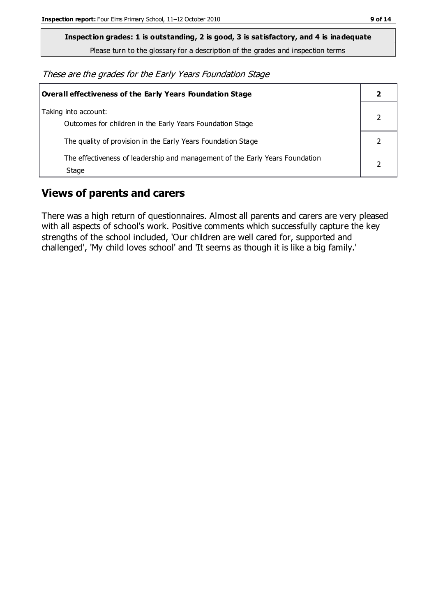**Inspection grades: 1 is outstanding, 2 is good, 3 is satisfactory, and 4 is inadequate**

Please turn to the glossary for a description of the grades and inspection terms

These are the grades for the Early Years Foundation Stage

| Overall effectiveness of the Early Years Foundation Stage                             |  |
|---------------------------------------------------------------------------------------|--|
| Taking into account:<br>Outcomes for children in the Early Years Foundation Stage     |  |
| The quality of provision in the Early Years Foundation Stage                          |  |
| The effectiveness of leadership and management of the Early Years Foundation<br>Stage |  |

## **Views of parents and carers**

There was a high return of questionnaires. Almost all parents and carers are very pleased with all aspects of school's work. Positive comments which successfully capture the key strengths of the school included, 'Our children are well cared for, supported and challenged', 'My child loves school' and 'It seems as though it is like a big family.'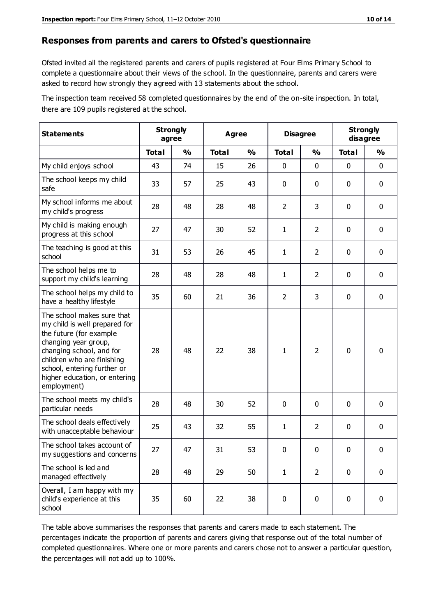#### **Responses from parents and carers to Ofsted's questionnaire**

Ofsted invited all the registered parents and carers of pupils registered at Four Elms Primary School to complete a questionnaire about their views of the school. In the questionnaire, parents and carers were asked to record how strongly they agreed with 13 statements about the school.

The inspection team received 58 completed questionnaires by the end of the on-site inspection. In total, there are 109 pupils registered at the school.

| <b>Statements</b>                                                                                                                                                                                                                                       | <b>Strongly</b><br>agree |               | Agree        |               | <b>Disagree</b> |                | <b>Strongly</b><br>disagree |               |
|---------------------------------------------------------------------------------------------------------------------------------------------------------------------------------------------------------------------------------------------------------|--------------------------|---------------|--------------|---------------|-----------------|----------------|-----------------------------|---------------|
|                                                                                                                                                                                                                                                         | <b>Total</b>             | $\frac{1}{2}$ | <b>Total</b> | $\frac{1}{2}$ | <b>Total</b>    | $\frac{1}{2}$  | <b>Total</b>                | $\frac{1}{2}$ |
| My child enjoys school                                                                                                                                                                                                                                  | 43                       | 74            | 15           | 26            | 0               | 0              | 0                           | $\mathbf 0$   |
| The school keeps my child<br>safe                                                                                                                                                                                                                       | 33                       | 57            | 25           | 43            | 0               | 0              | 0                           | $\pmb{0}$     |
| My school informs me about<br>my child's progress                                                                                                                                                                                                       | 28                       | 48            | 28           | 48            | $\overline{2}$  | 3              | $\mathbf 0$                 | $\mathbf 0$   |
| My child is making enough<br>progress at this school                                                                                                                                                                                                    | 27                       | 47            | 30           | 52            | $\mathbf{1}$    | $\overline{2}$ | $\mathbf 0$                 | $\mathbf 0$   |
| The teaching is good at this<br>school                                                                                                                                                                                                                  | 31                       | 53            | 26           | 45            | $\mathbf{1}$    | $\overline{2}$ | 0                           | $\pmb{0}$     |
| The school helps me to<br>support my child's learning                                                                                                                                                                                                   | 28                       | 48            | 28           | 48            | $\mathbf{1}$    | $\overline{2}$ | $\mathbf 0$                 | $\mathbf 0$   |
| The school helps my child to<br>have a healthy lifestyle                                                                                                                                                                                                | 35                       | 60            | 21           | 36            | $\overline{2}$  | 3              | 0                           | $\pmb{0}$     |
| The school makes sure that<br>my child is well prepared for<br>the future (for example<br>changing year group,<br>changing school, and for<br>children who are finishing<br>school, entering further or<br>higher education, or entering<br>employment) | 28                       | 48            | 22           | 38            | $\mathbf{1}$    | $\overline{2}$ | $\mathbf{0}$                | $\mathbf 0$   |
| The school meets my child's<br>particular needs                                                                                                                                                                                                         | 28                       | 48            | 30           | 52            | 0               | $\mathbf{0}$   | $\mathbf 0$                 | $\mathbf 0$   |
| The school deals effectively<br>with unacceptable behaviour                                                                                                                                                                                             | 25                       | 43            | 32           | 55            | 1               | $\overline{2}$ | 0                           | $\pmb{0}$     |
| The school takes account of<br>my suggestions and concerns                                                                                                                                                                                              | 27                       | 47            | 31           | 53            | 0               | $\pmb{0}$      | 0                           | 0             |
| The school is led and<br>managed effectively                                                                                                                                                                                                            | 28                       | 48            | 29           | 50            | $\mathbf{1}$    | $\overline{2}$ | $\mathbf 0$                 | $\mathbf 0$   |
| Overall, I am happy with my<br>child's experience at this<br>school                                                                                                                                                                                     | 35                       | 60            | 22           | 38            | $\pmb{0}$       | $\mathbf 0$    | 0                           | $\mathbf 0$   |

The table above summarises the responses that parents and carers made to each statement. The percentages indicate the proportion of parents and carers giving that response out of the total number of completed questionnaires. Where one or more parents and carers chose not to answer a particular question, the percentages will not add up to 100%.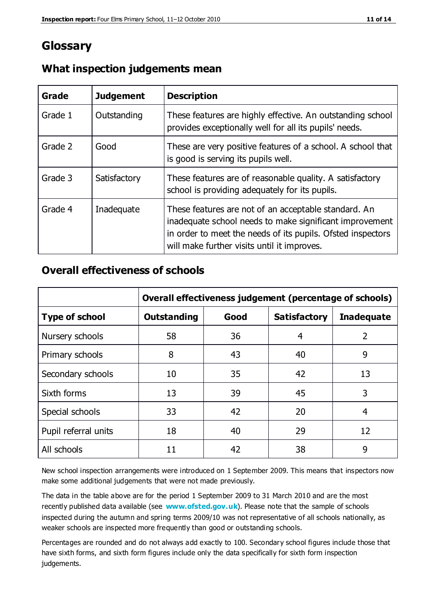## **Glossary**

| Grade   | <b>Judgement</b> | <b>Description</b>                                                                                                                                                                                                            |
|---------|------------------|-------------------------------------------------------------------------------------------------------------------------------------------------------------------------------------------------------------------------------|
| Grade 1 | Outstanding      | These features are highly effective. An outstanding school<br>provides exceptionally well for all its pupils' needs.                                                                                                          |
| Grade 2 | Good             | These are very positive features of a school. A school that<br>is good is serving its pupils well.                                                                                                                            |
| Grade 3 | Satisfactory     | These features are of reasonable quality. A satisfactory<br>school is providing adequately for its pupils.                                                                                                                    |
| Grade 4 | Inadequate       | These features are not of an acceptable standard. An<br>inadequate school needs to make significant improvement<br>in order to meet the needs of its pupils. Ofsted inspectors<br>will make further visits until it improves. |

#### **What inspection judgements mean**

#### **Overall effectiveness of schools**

|                       | Overall effectiveness judgement (percentage of schools) |      |                     |                   |
|-----------------------|---------------------------------------------------------|------|---------------------|-------------------|
| <b>Type of school</b> | <b>Outstanding</b>                                      | Good | <b>Satisfactory</b> | <b>Inadequate</b> |
| Nursery schools       | 58                                                      | 36   | 4                   | 2                 |
| Primary schools       | 8                                                       | 43   | 40                  | 9                 |
| Secondary schools     | 10                                                      | 35   | 42                  | 13                |
| Sixth forms           | 13                                                      | 39   | 45                  | 3                 |
| Special schools       | 33                                                      | 42   | 20                  | 4                 |
| Pupil referral units  | 18                                                      | 40   | 29                  | 12                |
| All schools           | 11                                                      | 42   | 38                  | 9                 |

New school inspection arrangements were introduced on 1 September 2009. This means that inspectors now make some additional judgements that were not made previously.

The data in the table above are for the period 1 September 2009 to 31 March 2010 and are the most recently published data available (see **[www.ofsted.gov.uk](http://www.ofsted.gov.uk/)**). Please note that the sample of schools inspected during the autumn and spring terms 2009/10 was not representative of all schools nationally, as weaker schools are inspected more frequently than good or outstanding schools.

Percentages are rounded and do not always add exactly to 100. Secondary school figures include those that have sixth forms, and sixth form figures include only the data specifically for sixth form inspection judgements.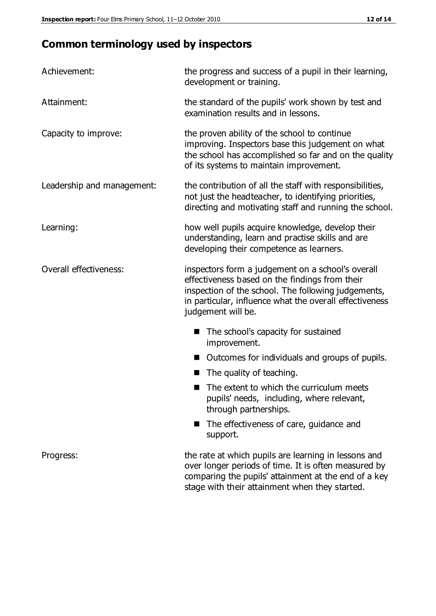# **Common terminology used by inspectors**

| Achievement:               | the progress and success of a pupil in their learning,<br>development or training.                                                                                                                                                          |  |
|----------------------------|---------------------------------------------------------------------------------------------------------------------------------------------------------------------------------------------------------------------------------------------|--|
| Attainment:                | the standard of the pupils' work shown by test and<br>examination results and in lessons.                                                                                                                                                   |  |
| Capacity to improve:       | the proven ability of the school to continue<br>improving. Inspectors base this judgement on what<br>the school has accomplished so far and on the quality<br>of its systems to maintain improvement.                                       |  |
| Leadership and management: | the contribution of all the staff with responsibilities,<br>not just the headteacher, to identifying priorities,<br>directing and motivating staff and running the school.                                                                  |  |
| Learning:                  | how well pupils acquire knowledge, develop their<br>understanding, learn and practise skills and are<br>developing their competence as learners.                                                                                            |  |
| Overall effectiveness:     | inspectors form a judgement on a school's overall<br>effectiveness based on the findings from their<br>inspection of the school. The following judgements,<br>in particular, influence what the overall effectiveness<br>judgement will be. |  |
|                            | The school's capacity for sustained<br>improvement.                                                                                                                                                                                         |  |
|                            | Outcomes for individuals and groups of pupils.                                                                                                                                                                                              |  |
|                            | The quality of teaching.                                                                                                                                                                                                                    |  |
|                            | The extent to which the curriculum meets<br>pupils' needs, including, where relevant,<br>through partnerships.                                                                                                                              |  |
|                            | The effectiveness of care, guidance and<br>support.                                                                                                                                                                                         |  |
| Progress:                  | the rate at which pupils are learning in lessons and<br>over longer periods of time. It is often measured by<br>comparing the pupils' attainment at the end of a key                                                                        |  |

stage with their attainment when they started.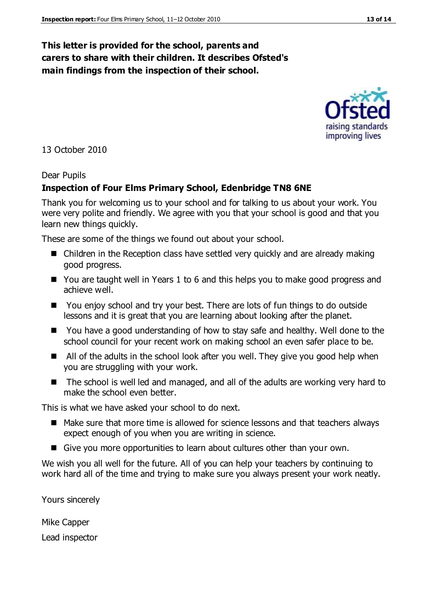#### **This letter is provided for the school, parents and carers to share with their children. It describes Ofsted's main findings from the inspection of their school.**

#### 13 October 2010

#### Dear Pupils

#### **Inspection of Four Elms Primary School, Edenbridge TN8 6NE**

Thank you for welcoming us to your school and for talking to us about your work. You were very polite and friendly. We agree with you that your school is good and that you learn new things quickly.

These are some of the things we found out about your school.

- Children in the Reception class have settled very quickly and are already making good progress.
- You are taught well in Years 1 to 6 and this helps you to make good progress and achieve well.
- You enjoy school and try your best. There are lots of fun things to do outside lessons and it is great that you are learning about looking after the planet.
- You have a good understanding of how to stay safe and healthy. Well done to the school council for your recent work on making school an even safer place to be.
- All of the adults in the school look after you well. They give you good help when you are struggling with your work.
- The school is well led and managed, and all of the adults are working very hard to make the school even better.

This is what we have asked your school to do next.

- Make sure that more time is allowed for science lessons and that teachers always expect enough of you when you are writing in science.
- Give you more opportunities to learn about cultures other than your own.

We wish you all well for the future. All of you can help your teachers by continuing to work hard all of the time and trying to make sure you always present your work neatly.

Yours sincerely

Mike Capper Lead inspector



improving lives